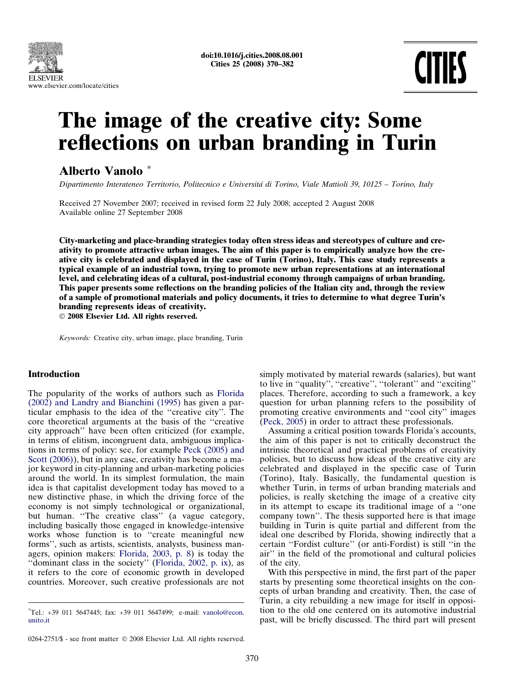

doi:10.1016/j.cities.2008.08.001 Cities 25 (2008) 370–382

# The image of the creative city: Some reflections on urban branding in Turin

Alberto Vanolo \*

Dipartimento Interateneo Territorio, Politecnico e Universita` di Torino, Viale Mattioli 39, 10125 – Torino, Italy

Received 27 November 2007; received in revised form 22 July 2008; accepted 2 August 2008 Available online 27 September 2008

City-marketing and place-branding strategies today often stress ideas and stereotypes of culture and creativity to promote attractive urban images. The aim of this paper is to empirically analyze how the creative city is celebrated and displayed in the case of Turin (Torino), Italy. This case study represents a typical example of an industrial town, trying to promote new urban representations at an international level, and celebrating ideas of a cultural, post-industrial economy through campaigns of urban branding. This paper presents some reflections on the branding policies of the Italian city and, through the review of a sample of promotional materials and policy documents, it tries to determine to what degree Turin's branding represents ideas of creativity.

- 2008 Elsevier Ltd. All rights reserved.

Keywords: Creative city, urban image, place branding, Turin

### Introduction

The popularity of the works of authors such as [Florida](#page--1-0) [\(2002\) and Landry and Bianchini \(1995\)](#page--1-0) has given a particular emphasis to the idea of the ''creative city''. The core theoretical arguments at the basis of the ''creative city approach'' have been often criticized (for example, in terms of elitism, incongruent data, ambiguous implications in terms of policy: see, for example [Peck \(2005\) and](#page--1-0) [Scott \(2006\)](#page--1-0)), but in any case, creativity has become a major keyword in city-planning and urban-marketing policies around the world. In its simplest formulation, the main idea is that capitalist development today has moved to a new distinctive phase, in which the driving force of the economy is not simply technological or organizational, but human. ''The creative class'' (a vague category, including basically those engaged in knowledge-intensive works whose function is to ''create meaningful new forms'', such as artists, scientists, analysts, business managers, opinion makers: [Florida, 2003, p. 8\)](#page--1-0) is today the ''dominant class in the society'' ([Florida, 2002, p. ix\)](#page--1-0), as it refers to the core of economic growth in developed countries. Moreover, such creative professionals are not simply motivated by material rewards (salaries), but want to live in ''quality'', ''creative'', ''tolerant'' and ''exciting'' places. Therefore, according to such a framework, a key question for urban planning refers to the possibility of promoting creative environments and ''cool city'' images ([Peck, 2005](#page--1-0)) in order to attract these professionals.

Assuming a critical position towards Florida's accounts, the aim of this paper is not to critically deconstruct the intrinsic theoretical and practical problems of creativity policies, but to discuss how ideas of the creative city are celebrated and displayed in the specific case of Turin (Torino), Italy. Basically, the fundamental question is whether Turin, in terms of urban branding materials and policies, is really sketching the image of a creative city in its attempt to escape its traditional image of a ''one company town''. The thesis supported here is that image building in Turin is quite partial and different from the ideal one described by Florida, showing indirectly that a certain ''Fordist culture'' (or anti-Fordist) is still ''in the air'' in the field of the promotional and cultural policies of the city.

With this perspective in mind, the first part of the paper starts by presenting some theoretical insights on the concepts of urban branding and creativity. Then, the case of Turin, a city rebuilding a new image for itself in opposition to the old one centered on its automotive industrial past, will be briefly discussed. The third part will present

<sup>\*</sup> Tel.: +39 011 5647445; fax: +39 011 5647499; e-mail: [vanolo@econ.](mailto:vanolo@econ.  unito.it) [unito.it](mailto:vanolo@econ.  unito.it)

<sup>0264-2751/\$ -</sup> see front matter © 2008 Elsevier Ltd. All rights reserved.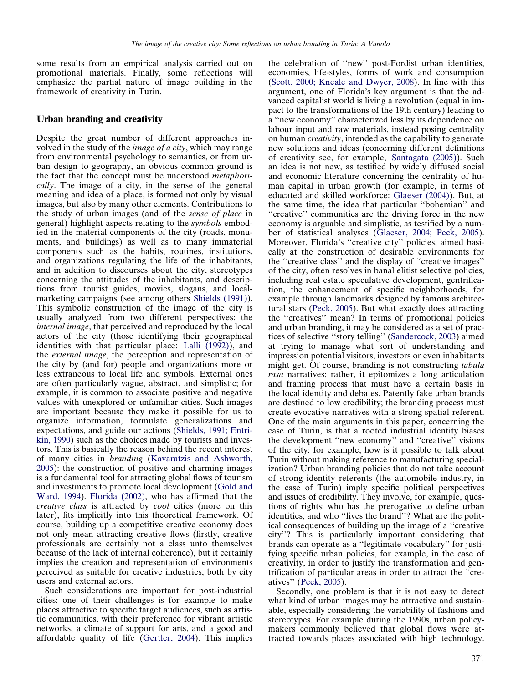some results from an empirical analysis carried out on promotional materials. Finally, some reflections will emphasize the partial nature of image building in the framework of creativity in Turin.

#### Urban branding and creativity

Despite the great number of different approaches involved in the study of the image of a city, which may range from environmental psychology to semantics, or from urban design to geography, an obvious common ground is the fact that the concept must be understood metaphorically. The image of a city, in the sense of the general meaning and idea of a place, is formed not only by visual images, but also by many other elements. Contributions to the study of urban images (and of the sense of place in general) highlight aspects relating to the symbols embodied in the material components of the city (roads, monuments, and buildings) as well as to many immaterial components such as the habits, routines, institutions, and organizations regulating the life of the inhabitants, and in addition to discourses about the city, stereotypes concerning the attitudes of the inhabitants, and descriptions from tourist guides, movies, slogans, and localmarketing campaigns (see among others [Shields \(1991\)](#page--1-0)). This symbolic construction of the image of the city is usually analyzed from two different perspectives: the internal image, that perceived and reproduced by the local actors of the city (those identifying their geographical identities with that particular place: [Lalli \(1992\)](#page--1-0)), and the external image, the perception and representation of the city by (and for) people and organizations more or less extraneous to local life and symbols. External ones are often particularly vague, abstract, and simplistic; for example, it is common to associate positive and negative values with unexplored or unfamiliar cities. Such images are important because they make it possible for us to organize information, formulate generalizations and expectations, and guide our actions ([Shields, 1991; Entri](#page--1-0)[kin, 1990\)](#page--1-0) such as the choices made by tourists and investors. This is basically the reason behind the recent interest of many cities in branding [\(Kavaratzis and Ashworth,](#page--1-0) [2005](#page--1-0)): the construction of positive and charming images is a fundamental tool for attracting global flows of tourism and investments to promote local development ([Gold and](#page--1-0) [Ward, 1994\)](#page--1-0). [Florida \(2002\)](#page--1-0), who has affirmed that the creative class is attracted by cool cities (more on this later), fits implicitly into this theoretical framework. Of course, building up a competitive creative economy does not only mean attracting creative flows (firstly, creative professionals are certainly not a class unto themselves because of the lack of internal coherence), but it certainly implies the creation and representation of environments perceived as suitable for creative industries, both by city users and external actors.

Such considerations are important for post-industrial cities: one of their challenges is for example to make places attractive to specific target audiences, such as artistic communities, with their preference for vibrant artistic networks, a climate of support for arts, and a good and affordable quality of life [\(Gertler, 2004](#page--1-0)). This implies the celebration of ''new'' post-Fordist urban identities, economies, life-styles, forms of work and consumption [\(Scott, 2000; Kneale and Dwyer, 2008\)](#page--1-0). In line with this argument, one of Florida's key argument is that the advanced capitalist world is living a revolution (equal in impact to the transformations of the 19th century) leading to a ''new economy'' characterized less by its dependence on labour input and raw materials, instead posing centrality on human creativity, intended as the capability to generate new solutions and ideas (concerning different definitions of creativity see, for example, [Santagata \(2005\)](#page--1-0)). Such an idea is not new, as testified by widely diffused social and economic literature concerning the centrality of human capital in urban growth (for example, in terms of educated and skilled workforce: [Glaeser \(2004\)](#page--1-0)). But, at the same time, the idea that particular ''bohemian'' and ''creative'' communities are the driving force in the new economy is arguable and simplistic, as testified by a number of statistical analyses [\(Glaeser, 2004; Peck, 2005](#page--1-0)). Moreover, Florida's ''creative city'' policies, aimed basically at the construction of desirable environments for the ''creative class'' and the display of ''creative images'' of the city, often resolves in banal elitist selective policies, including real estate speculative development, gentrification, the enhancement of specific neighborhoods, for example through landmarks designed by famous architectural stars ([Peck, 2005\)](#page--1-0). But what exactly does attracting the ''creatives'' mean? In terms of promotional policies and urban branding, it may be considered as a set of practices of selective ''story telling'' [\(Sandercock, 2003](#page--1-0)) aimed at trying to manage what sort of understanding and impression potential visitors, investors or even inhabitants might get. Of course, branding is not constructing tabula rasa narratives; rather, it epitomizes a long articulation and framing process that must have a certain basis in the local identity and debates. Patently fake urban brands are destined to low credibility; the branding process must create evocative narratives with a strong spatial referent. One of the main arguments in this paper, concerning the case of Turin, is that a rooted industrial identity biases the development ''new economy'' and ''creative'' visions of the city: for example, how is it possible to talk about Turin without making reference to manufacturing specialization? Urban branding policies that do not take account of strong identity referents (the automobile industry, in the case of Turin) imply specific political perspectives and issues of credibility. They involve, for example, questions of rights: who has the prerogative to define urban identities, and who ''lives the brand''? What are the political consequences of building up the image of a ''creative city''? This is particularly important considering that brands can operate as a ''legitimate vocabulary'' for justifying specific urban policies, for example, in the case of creativity, in order to justify the transformation and gentrification of particular areas in order to attract the ''creatives'' [\(Peck, 2005](#page--1-0)).

Secondly, one problem is that it is not easy to detect what kind of urban images may be attractive and sustainable, especially considering the variability of fashions and stereotypes. For example during the 1990s, urban policymakers commonly believed that global flows were attracted towards places associated with high technology.